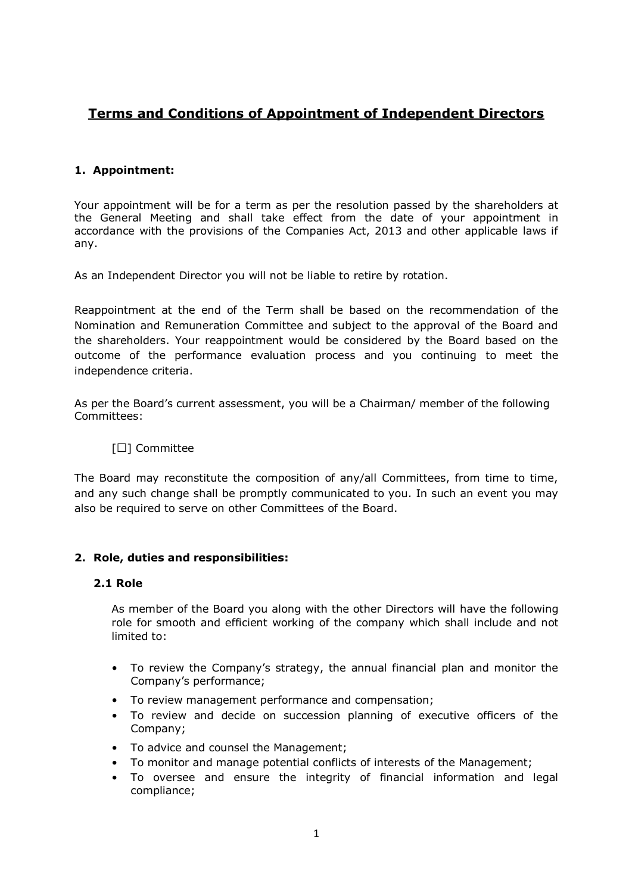# **Terms and Conditions of Appointment of Independent Directors**

# **1. Appointment:**

Your appointment will be for a term as per the resolution passed by the shareholders at the General Meeting and shall take effect from the date of your appointment in accordance with the provisions of the Companies Act, 2013 and other applicable laws if any.

As an Independent Director you will not be liable to retire by rotation.

Reappointment at the end of the Term shall be based on the recommendation of the Nomination and Remuneration Committee and subject to the approval of the Board and the shareholders. Your reappointment would be considered by the Board based on the outcome of the performance evaluation process and you continuing to meet the independence criteria.

As per the Board's current assessment, you will be a Chairman/ member of the following Committees:

#### [□] Committee

The Board may reconstitute the composition of any/all Committees, from time to time, and any such change shall be promptly communicated to you. In such an event you may also be required to serve on other Committees of the Board.

#### **2. Role, duties and responsibilities:**

#### **2.1 Role**

As member of the Board you along with the other Directors will have the following role for smooth and efficient working of the company which shall include and not limited to:

- To review the Company's strategy, the annual financial plan and monitor the Company's performance;
- To review management performance and compensation;
- To review and decide on succession planning of executive officers of the Company;
- To advice and counsel the Management;
- To monitor and manage potential conflicts of interests of the Management;
- To oversee and ensure the integrity of financial information and legal compliance;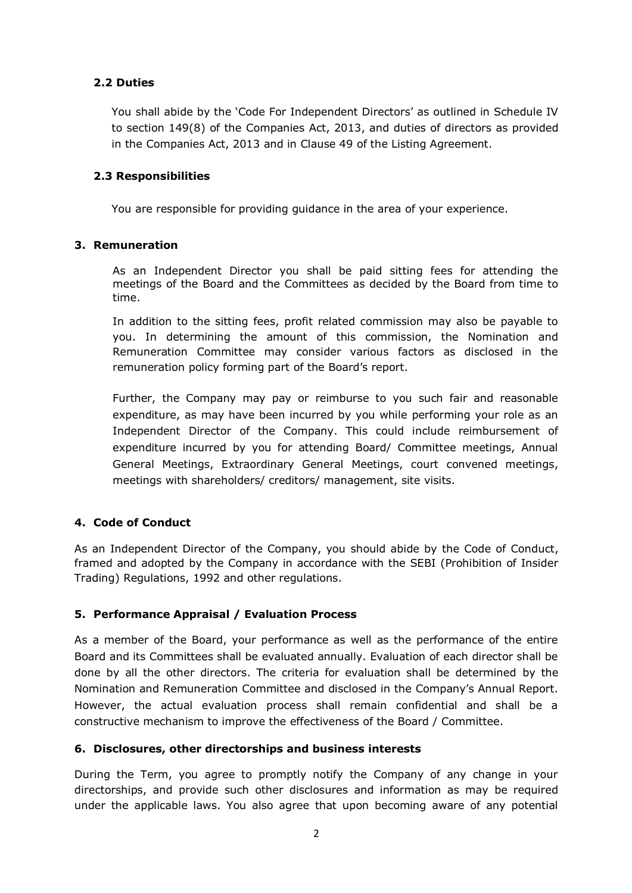# **2.2 Duties**

You shall abide by the 'Code For Independent Directors' as outlined in Schedule IV to section 149(8) of the Companies Act, 2013, and duties of directors as provided in the Companies Act, 2013 and in Clause 49 of the Listing Agreement.

#### **2.3 Responsibilities**

You are responsible for providing guidance in the area of your experience.

## **3. Remuneration**

As an Independent Director you shall be paid sitting fees for attending the meetings of the Board and the Committees as decided by the Board from time to time.

In addition to the sitting fees, profit related commission may also be payable to you. In determining the amount of this commission, the Nomination and Remuneration Committee may consider various factors as disclosed in the remuneration policy forming part of the Board's report.

Further, the Company may pay or reimburse to you such fair and reasonable expenditure, as may have been incurred by you while performing your role as an Independent Director of the Company. This could include reimbursement of expenditure incurred by you for attending Board/ Committee meetings, Annual General Meetings, Extraordinary General Meetings, court convened meetings, meetings with shareholders/ creditors/ management, site visits.

# **4. Code of Conduct**

As an Independent Director of the Company, you should abide by the Code of Conduct, framed and adopted by the Company in accordance with the SEBI (Prohibition of Insider Trading) Regulations, 1992 and other regulations.

# **5. Performance Appraisal / Evaluation Process**

As a member of the Board, your performance as well as the performance of the entire Board and its Committees shall be evaluated annually. Evaluation of each director shall be done by all the other directors. The criteria for evaluation shall be determined by the Nomination and Remuneration Committee and disclosed in the Company's Annual Report. However, the actual evaluation process shall remain confidential and shall be a constructive mechanism to improve the effectiveness of the Board / Committee.

#### **6. Disclosures, other directorships and business interests**

During the Term, you agree to promptly notify the Company of any change in your directorships, and provide such other disclosures and information as may be required under the applicable laws. You also agree that upon becoming aware of any potential